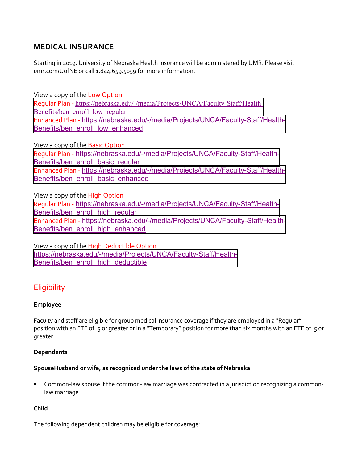# **MEDICAL INSURANCE**

Starting in 2019, University of Nebraska Health Insurance will be administered by UMR. Please visit umr.com/UofNE or call 1.844.659.5059 for more information.

View a copy of the Low Option Regular Plan ‐ [https://nebraska.edu/-/media/Projects/UNCA/Faculty-Staff/Health-](https://nebraska.edu/-/media/Projects/UNCA/Faculty-Staff/Health-Benefits/ben_enroll_low_regular)Benefits/ben\_enroll\_low\_regular Enhanced Plan ‐ [https://nebraska.edu/-/media/Projects/UNCA/Faculty-Staff/Health-](https://nebraska.edu/-/media/Projects/UNCA/Faculty-Staff/Health-Benefits/ben_enroll_low_enhanced)Benefits/ben\_enroll\_low\_enhanced

View a copy of the Basic Option Regular Plan ‐ [https://nebraska.edu/-/media/Projects/UNCA/Faculty-Staff/Health-](https://nebraska.edu/-/media/Projects/UNCA/Faculty-Staff/Health-Benefits/ben_enroll_basic_regular)Benefits/ben\_enroll\_basic\_regular Enhanced Plan ‐ [https://nebraska.edu/-/media/Projects/UNCA/Faculty-Staff/Health-](https://nebraska.edu/-/media/Projects/UNCA/Faculty-Staff/Health-Benefits/ben_enroll_basic_enhanced)Benefits/ben\_enroll\_basic\_enhanced

View a copy of the High Option Regular Plan ‐ [https://nebraska.edu/-/media/Projects/UNCA/Faculty-Staff/Health-](https://nebraska.edu/-/media/Projects/UNCA/Faculty-Staff/Health-Benefits/ben_enroll_high_regular)Benefits/ben\_enroll\_high\_regular Enhanced Plan ‐ [https://nebraska.edu/-/media/Projects/UNCA/Faculty-Staff/Health-](https://nebraska.edu/-/media/Projects/UNCA/Faculty-Staff/Health-Benefits/ben_enroll_high_enhanced)Benefits/ben\_enroll\_high\_enhanced

View a copy of the High Deductible Option [https://nebraska.edu/-/media/Projects/UNCA/Faculty-Staff/Health-](https://nebraska.edu/-/media/Projects/UNCA/Faculty-Staff/Health-Benefits/ben_enroll_high_deductible)Benefits/ben\_enroll\_high\_deductible

# **Eligibility**

#### **Employee**

Faculty and staff are eligible for group medical insurance coverage if they are employed in a "Regular" position with an FTE of .5 or greater or in a "Temporary" position for more than six months with an FTE of .5 or greater.

#### **Dependents**

#### **SpouseHusband or wife, as recognized under the laws of the state of Nebraska**

 Common‐law spouse if the common‐law marriage was contracted in a jurisdiction recognizing a common‐ law marriage

#### **Child**

The following dependent children may be eligible for coverage: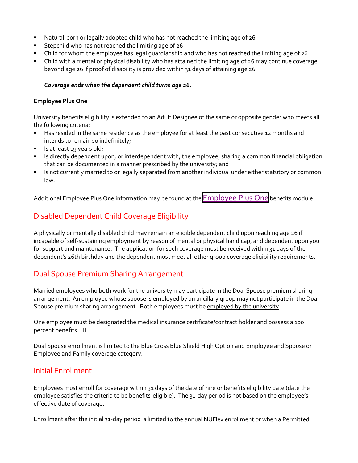- Natural-born or legally adopted child who has not reached the limiting age of 26
- Stepchild who has not reached the limiting age of 26
- Child for whom the employee has legal guardianship and who has not reached the limiting age of 26
- Child with a mental or physical disability who has attained the limiting age of 26 may continue coverage beyond age 26 if proof of disability is provided within 31 days of attaining age 26

#### *Coverage ends when the dependent child turns age 26.*

#### **Employee Plus One**

University benefits eligibility is extended to an Adult Designee of the same or opposite gender who meets all the following criteria:

- Has resided in the same residence as the employee for at least the past consecutive 12 months and intends to remain so indefinitely;
- Is at least 19 years old;
- Is directly dependent upon, or interdependent with, the employee, sharing a common financial obligation that can be documented in a manner prescribed by the university; and
- Is not currently married to or legally separated from another individual under either statutory or common law.

Additional Employee Plus One information may be found at the [Employee](https://nebraska.edu/faculty-and-staff/health-benefits/employee-plus-one) Plus One benefits module.

# Disabled Dependent Child Coverage Eligibility

A physically or mentally disabled child may remain an eligible dependent child upon reaching age 26 if incapable of self‐sustaining employment by reason of mental or physical handicap, and dependent upon you for support and maintenance. The application for such coverage must be received within 31 days of the dependent's 26th birthday and the dependent must meet all other group coverage eligibility requirements.

## Dual Spouse Premium Sharing Arrangement

Married employees who both work for the university may participate in the Dual Spouse premium sharing arrangement. An employee whose spouse is employed by an ancillary group may not participate in the Dual Spouse premium sharing arrangement. Both employees must be employed by the university.

One employee must be designated the medical insurance certificate/contract holder and possess a 100 percent benefits FTE.

Dual Spouse enrollment is limited to the Blue Cross Blue Shield High Option and Employee and Spouse or Employee and Family coverage category.

### Initial Enrollment

Employees must enroll for coverage within 31 days of the date of hire or benefits eligibility date (date the employee satisfies the criteria to be benefits-eligible). The 31-day period is not based on the employee's effective date of coverage.

Enrollment after the initial 31‐day period is limited to the annual NUFlex enrollment or when a Permitted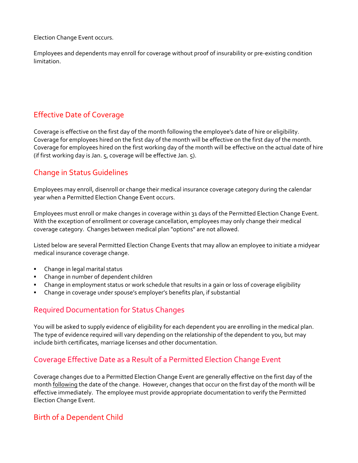Election Change Event occurs.

Employees and dependents may enroll for coverage without proof of insurability or pre‐existing condition limitation.

# Effective Date of Coverage

Coverage is effective on the first day of the month following the employee's date of hire or eligibility. Coverage for employees hired on the first day of the month will be effective on the first day of the month. Coverage for employees hired on the first working day of the month will be effective on the actual date of hire (if first working day is Jan. 5, coverage will be effective Jan. 5).

# Change in Status Guidelines

Employees may enroll, disenroll or change their medical insurance coverage category during the calendar year when a Permitted Election Change Event occurs.

Employees must enroll or make changes in coverage within 31 days of the Permitted Election Change Event. With the exception of enrollment or coverage cancellation, employees may only change their medical coverage category. Changes between medical plan "options" are not allowed.

Listed below are several Permitted Election Change Events that may allow an employee to initiate a midyear medical insurance coverage change.

- Change in legal marital status
- Change in number of dependent children
- Change in employment status or work schedule that results in a gain or loss of coverage eligibility
- Change in coverage under spouse's employer's benefits plan, if substantial

### Required Documentation for Status Changes

You will be asked to supply evidence of eligibility for each dependent you are enrolling in the medical plan. The type of evidence required will vary depending on the relationship of the dependent to you, but may include birth certificates, marriage licenses and other documentation.

## Coverage Effective Date as a Result of a Permitted Election Change Event

Coverage changes due to a Permitted Election Change Event are generally effective on the first day of the month **following** the date of the change. However, changes that occur on the first day of the month will be effective immediately. The employee must provide appropriate documentation to verify the Permitted Election Change Event.

## Birth of a Dependent Child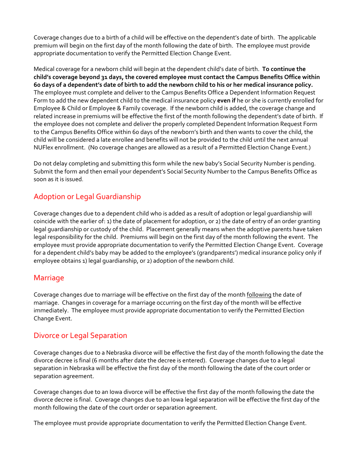Coverage changes due to a birth of a child will be effective on the dependent's date of birth. The applicable premium will begin on the first day of the month following the date of birth. The employee must provide appropriate documentation to verify the Permitted Election Change Event.

Medical coverage for a newborn child will begin at the dependent child's date of birth. **To continue the child's coverage beyond 31 days, the covered employee must contact the Campus Benefits Office within** 60 days of a dependent's date of birth to add the newborn child to his or her medical insurance policy. The employee must complete and deliver to the Campus Benefits Office a Dependent Information Request Form to add the new dependent child to the medical insurance policy **even if** he or she is currently enrolled for Employee & Child or Employee & Family coverage. If the newborn child is added, the coverage change and related increase in premiums will be effective the first of the month following the dependent's date of birth. If the employee does not complete and deliver the properly completed Dependent Information Request Form to the Campus Benefits Office within 60 days of the newborn's birth and then wants to cover the child, the child will be considered a late enrollee and benefits will not be provided to the child until the next annual NUFlex enrollment. (No coverage changes are allowed as a result of a Permitted Election Change Event.)

Do not delay completing and submitting this form while the new baby's Social Security Number is pending. Submit the form and then email your dependent's Social Security Number to the Campus Benefits Office as soon as it is issued.

# Adoption or Legal Guardianship

Coverage changes due to a dependent child who is added as a result of adoption or legal guardianship will coincide with the earlier of: 1) the date of placement for adoption, or 2) the date of entry of an order granting legal guardianship or custody of the child. Placement generally means when the adoptive parents have taken legal responsibility for the child. Premiums will begin on the first day of the month following the event. The employee must provide appropriate documentation to verify the Permitted Election Change Event. Coverage for a dependent child's baby may be added to the employee's (grandparents') medical insurance policy only if employee obtains 1) legal guardianship, or 2) adoption of the newborn child.

### Marriage

Coverage changes due to marriage will be effective on the first day of the month following the date of marriage. Changes in coverage for a marriage occurring on the first day of the month will be effective immediately. The employee must provide appropriate documentation to verify the Permitted Election Change Event.

## Divorce or Legal Separation

Coverage changes due to a Nebraska divorce will be effective the first day of the month following the date the divorce decree is final (6 months after date the decree is entered). Coverage changes due to a legal separation in Nebraska will be effective the first day of the month following the date of the court order or separation agreement.

Coverage changes due to an Iowa divorce will be effective the first day of the month following the date the divorce decree is final. Coverage changes due to an Iowa legal separation will be effective the first day of the month following the date of the court order or separation agreement.

The employee must provide appropriate documentation to verify the Permitted Election Change Event.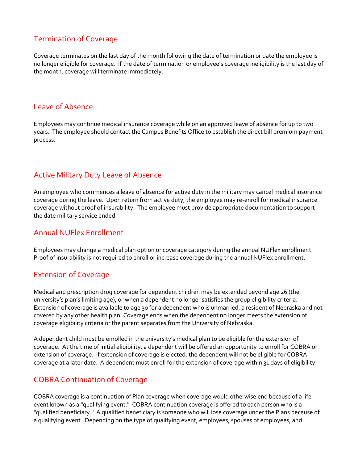# Termination of Coverage

Coverage terminates on the last day of the month following the date of termination or date the employee is no longer eligible for coverage. If the date of termination or employee's coverage ineligibility is the last day of the month, coverage will terminate immediately.

### Leave of Absence

Employees may continue medical insurance coverage while on an approved leave of absence for up to two years. The employee should contact the Campus Benefits Office to establish the direct bill premium payment process.

## Active Military Duty Leave of Absence

An employee who commences a leave of absence for active duty in the military may cancel medical insurance coverage during the leave. Upon return from active duty, the employee may re‐enroll for medical insurance coverage without proof of insurability. The employee must provide appropriate documentation to support the date military service ended.

### Annual NUFlex Enrollment

Employees may change a medical plan option or coverage category during the annual NUFlex enrollment. Proof of insurability is not required to enroll or increase coverage during the annual NUFlex enrollment.

## Extension of Coverage

Medical and prescription drug coverage for dependent children may be extended beyond age 26 (the university's plan's limiting age), or when a dependent no longer satisfies the group eligibility criteria. Extension of coverage is available to age 30 for a dependent who is unmarried, a resident of Nebraska and not covered by any other health plan. Coverage ends when the dependent no longer meets the extension of coverage eligibility criteria or the parent separates from the University of Nebraska.

A dependent child must be enrolled in the university's medical plan to be eligible for the extension of coverage. At the time of initial eligibility, a dependent will be offered an opportunity to enroll for COBRA or extension of coverage. If extension of coverage is elected, the dependent will not be eligible for COBRA coverage at a later date. A dependent must enroll for the extension of coverage within 31 days of eligibility.

# COBRA Continuation of Coverage

COBRA coverage is a continuation of Plan coverage when coverage would otherwise end because of a life event known as a "qualifying event." COBRA continuation coverage is offered to each person who is a "qualified beneficiary." A qualified beneficiary is someone who will lose coverage under the Plans because of a qualifying event. Depending on the type of qualifying event, employees, spouses of employees, and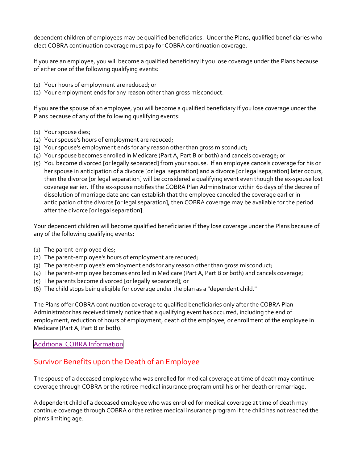dependent children of employees may be qualified beneficiaries. Under the Plans, qualified beneficiaries who elect COBRA continuation coverage must pay for COBRA continuation coverage.

If you are an employee, you will become a qualified beneficiary if you lose coverage under the Plans because of either one of the following qualifying events:

- (1) Your hours of employment are reduced; or
- (2) Your employment ends for any reason other than gross misconduct.

If you are the spouse of an employee, you will become a qualified beneficiary if you lose coverage under the Plans because of any of the following qualifying events:

- (1) Your spouse dies;
- (2) Your spouse's hours of employment are reduced;
- (3) Your spouse's employment ends for any reason other than gross misconduct;
- (4) Your spouse becomes enrolled in Medicare (Part A, Part B or both) and cancels coverage; or
- (5) You become divorced [or legally separated] from your spouse. If an employee cancels coverage for his or her spouse in anticipation of a divorce [or legal separation] and a divorce [or legal separation] later occurs, then the divorce [or legal separation] will be considered a qualifying event even though the ex‐spouse lost coverage earlier. If the ex‐spouse notifies the COBRA Plan Administrator within 60 days of the decree of dissolution of marriage date and can establish that the employee canceled the coverage earlier in anticipation of the divorce [or legal separation], then COBRA coverage may be available for the period after the divorce [or legal separation].

Your dependent children will become qualified beneficiaries if they lose coverage under the Plans because of any of the following qualifying events:

- (1) The parent‐employee dies;
- (2) The parent‐employee's hours of employment are reduced;
- (3) The parent‐employee's employment ends for any reason other than gross misconduct;
- (4) The parent‐employee becomes enrolled in Medicare (Part A, Part B or both) and cancels coverage;
- (5) The parents become divorced [or legally separated]; or
- (6) The child stops being eligible for coverage under the plan as a "dependent child."

The Plans offer COBRA continuation coverage to qualified beneficiaries only after the COBRA Plan Administrator has received timely notice that a qualifying event has occurred, including the end of employment, reduction of hours of employment, death of the employee, or enrollment of the employee in Medicare (Part A, Part B or both).

#### Additional COBRA [Information](https://nebraska.edu/faculty-and-staff/health-benefits/cobra-benefits-post-employment)

# Survivor Benefits upon the Death of an Employee

The spouse of a deceased employee who was enrolled for medical coverage at time of death may continue coverage through COBRA or the retiree medical insurance program until his or her death or remarriage.

A dependent child of a deceased employee who was enrolled for medical coverage at time of death may continue coverage through COBRA or the retiree medical insurance program if the child has not reached the plan's limiting age.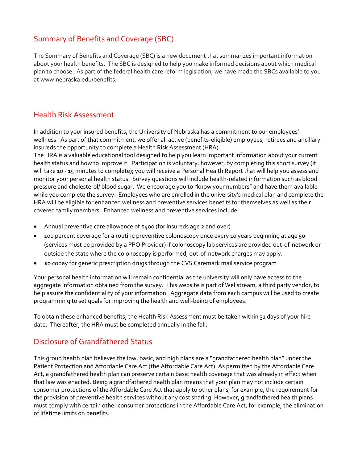# Summary of Benefits and Coverage (SBC)

The Summary of Benefits and Coverage (SBC) is a new document that summarizes important information about your health benefits. The SBC is designed to help you make informed decisions about which medical plan to choose. As part of the federal health care reform legislation, we have made the SBCs available to you at www.nebraska.edu/benefits.

## Health Risk Assessment

In addition to your insured benefits, the University of Nebraska has a commitment to our employees' wellness. As part of that commitment, we offer all active (benefits‐eligible) employees, retirees and ancillary insureds the opportunity to complete a Health Risk Assessment (HRA).

The HRA is a valuable educational tool designed to help you learn important information about your current health status and how to improve it. Participation is voluntary; however, by completing this short survey (it will take 10 ‐ 15 minutes to complete); you will receive a Personal Health Report that will help you assess and monitor your personal health status. Survey questions will include health‐related information such as blood pressure and cholesterol/ blood sugar. We encourage you to "know your numbers" and have them available while you complete the survey. Employees who are enrolled in the university's medical plan and complete the HRA will be eligible for enhanced wellness and preventive services benefits for themselves as well as their covered family members. Enhanced wellness and preventive services include:

- Annual preventive care allowance of \$400 (for insureds age 2 and over)
- 100 percent coverage for a routine preventive colonoscopy once every 10 years beginning at age 50 (services must be provided by a PPO Provider) If colonoscopy lab services are provided out‐of‐network or outside the state where the colonoscopy is performed, out‐of‐network charges may apply.
- \$0 copay for generic prescription drugs through the CVS Caremark mail service program

Your personal health information will remain confidential as the university will only have access to the aggregate information obtained from the survey. This website is part of Wellstream, a third party vendor, to help assure the confidentiality of your information. Aggregate data from each campus will be used to create programming to set goals for improving the health and well‐being of employees.

To obtain these enhanced benefits, the Health Risk Assessment must be taken within 31 days of your hire date. Thereafter, the HRA must be completed annually in the fall.

## Disclosure of Grandfathered Status

This group health plan believes the low, basic, and high plans are a "grandfathered health plan" under the Patient Protection and Affordable Care Act (the Affordable Care Act). As permitted by the Affordable Care Act, a grandfathered health plan can preserve certain basic health coverage that was already in effect when that law was enacted. Being a grandfathered health plan means that your plan may not include certain consumer protections of the Affordable Care Act that apply to other plans, for example, the requirement for the provision of preventive health services without any cost sharing. However, grandfathered health plans must comply with certain other consumer protections in the Affordable Care Act, for example, the elimination of lifetime limits on benefits.